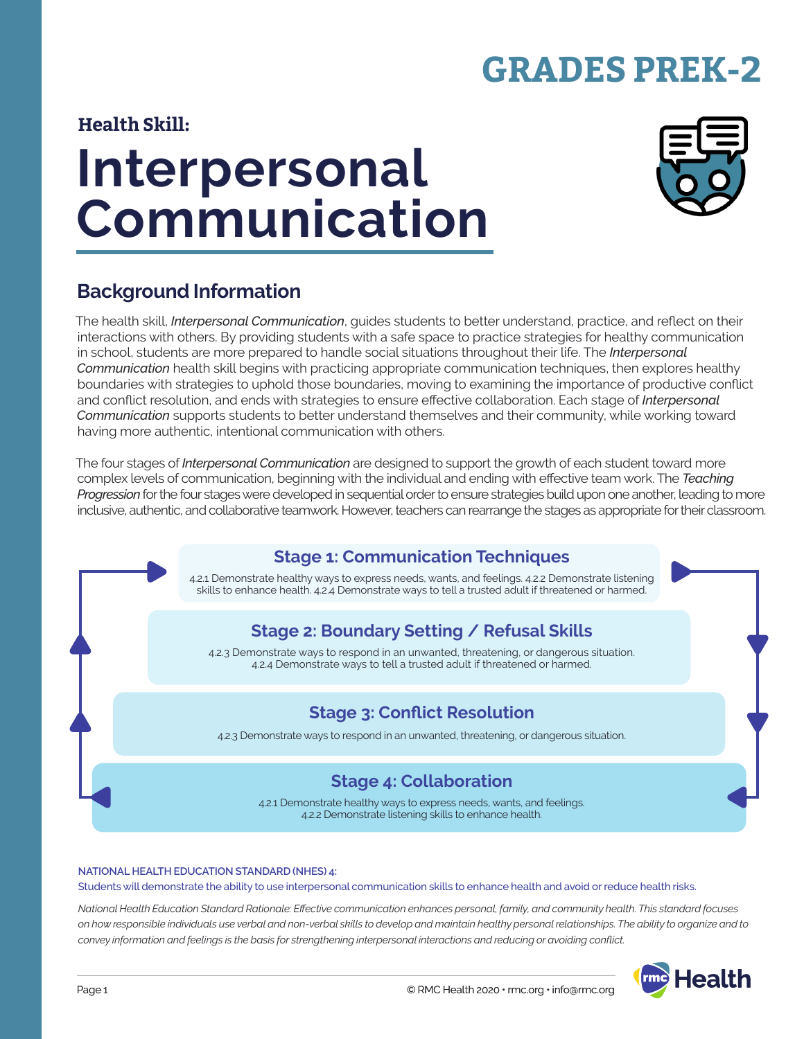# **GRADES PREK-2**

#### **Health Skill:**

# **Interpersonal Communication**



## **Background Information**

The health skill, *Interpersonal Communication*, guides students to better understand, practice, and reflect on their interactions with others. By providing students with a safe space to practice strategies for healthy communication in school, students are more prepared to handle social situations throughout their life. The *Interpersonal Communication* health skill begins with practicing appropriate communication techniques, then explores healthy boundaries with strategies to uphold those boundaries, moving to examining the importance of productive conflict and conflict resolution, and ends with strategies to ensure effective collaboration. Each stage of *Interpersonal Communication* supports students to better understand themselves and their community, while working toward having more authentic, intentional communication with others.

The four stages of *Interpersonal Communication* are designed to support the growth of each student toward more complex levels of communication, beginning with the individual and ending with effective team work. The *Teaching Progression* for the four stages were developed in sequential order to ensure strategies build upon one another, leading to more inclusive, authentic, and collaborative teamwork. However, teachers can rearrange the stages as appropriate for their classroom.

# **Stage 1: Communication Techniques**

4.2.1 Demonstrate healthy ways to express needs, wants, and feelings. 4.2.2 Demonstrate listening skills to enhance health. 4.2.4 Demonstrate ways to tell a trusted adult if threatened or harmed.

### **Stage 2: Boundary Setting / Refusal Skills**

4.2.3 Demonstrate ways to respond in an unwanted, threatening, or dangerous situation. 4.2.4 Demonstrate ways to tell a trusted adult if threatened or harmed.

#### **Stage 3: Conflict Resolution**

4.2.3 Demonstrate ways to respond in an unwanted, threatening, or dangerous situation.

#### **Stage 4: Collaboration**

4.2.1 Demonstrate healthy ways to express needs, wants, and feelings. 4.2.2 Demonstrate listening skills to enhance health.

#### **NATIONAL HEALTH EDUCATION STANDARD (NHES) 4:**

Students will demonstrate the ability to use interpersonal communication skills to enhance health and avoid or reduce health risks.

*National Health Education Standard Rationale: Effective communication enhances personal, family, and community health. This standard focuses on how responsible individuals use verbal and non-verbal skills to develop and maintain healthy personal relationships. The ability to organize and to convey information and feelings is the basis for strengthening interpersonal interactions and reducing or avoiding conflict.*

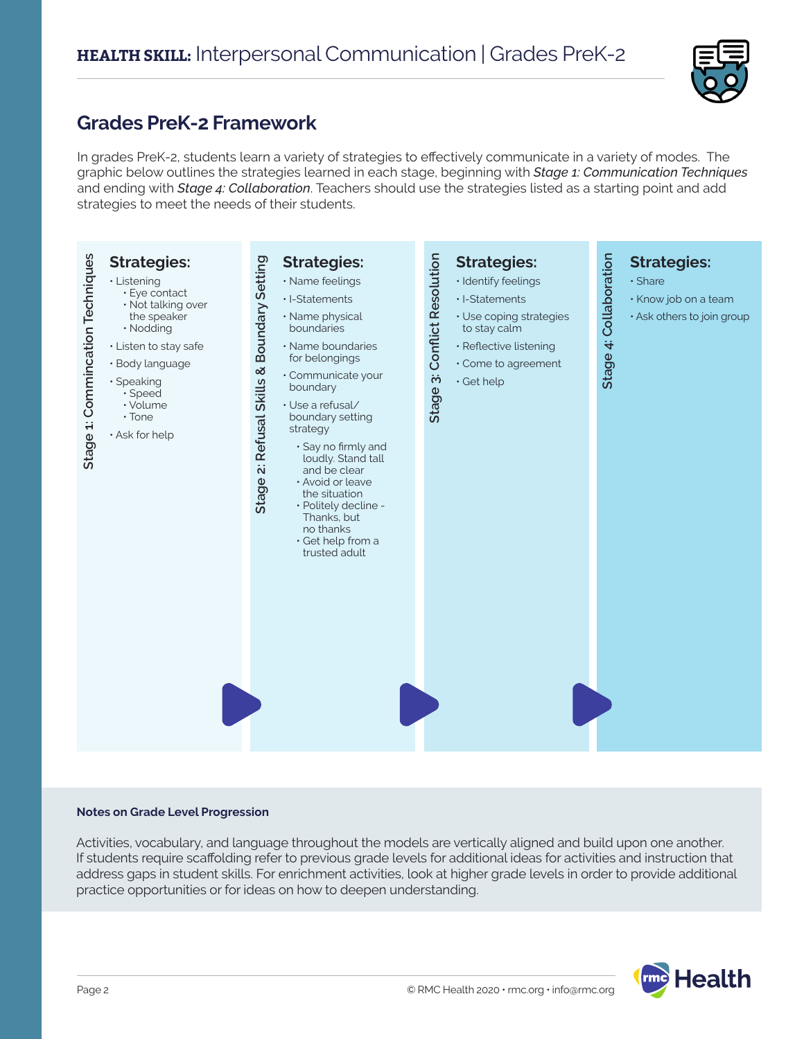

### **Grades PreK-2 Framework**

In grades PreK-2, students learn a variety of strategies to effectively communicate in a variety of modes. The graphic below outlines the strategies learned in each stage, beginning with *Stage 1: Communication Techniques* and ending with *Stage 4: Collaboration*. Teachers should use the strategies listed as a starting point and add strategies to meet the needs of their students.



#### **Notes on Grade Level Progression**

Activities, vocabulary, and language throughout the models are vertically aligned and build upon one another. If students require scaffolding refer to previous grade levels for additional ideas for activities and instruction that address gaps in student skills. For enrichment activities, look at higher grade levels in order to provide additional practice opportunities or for ideas on how to deepen understanding.

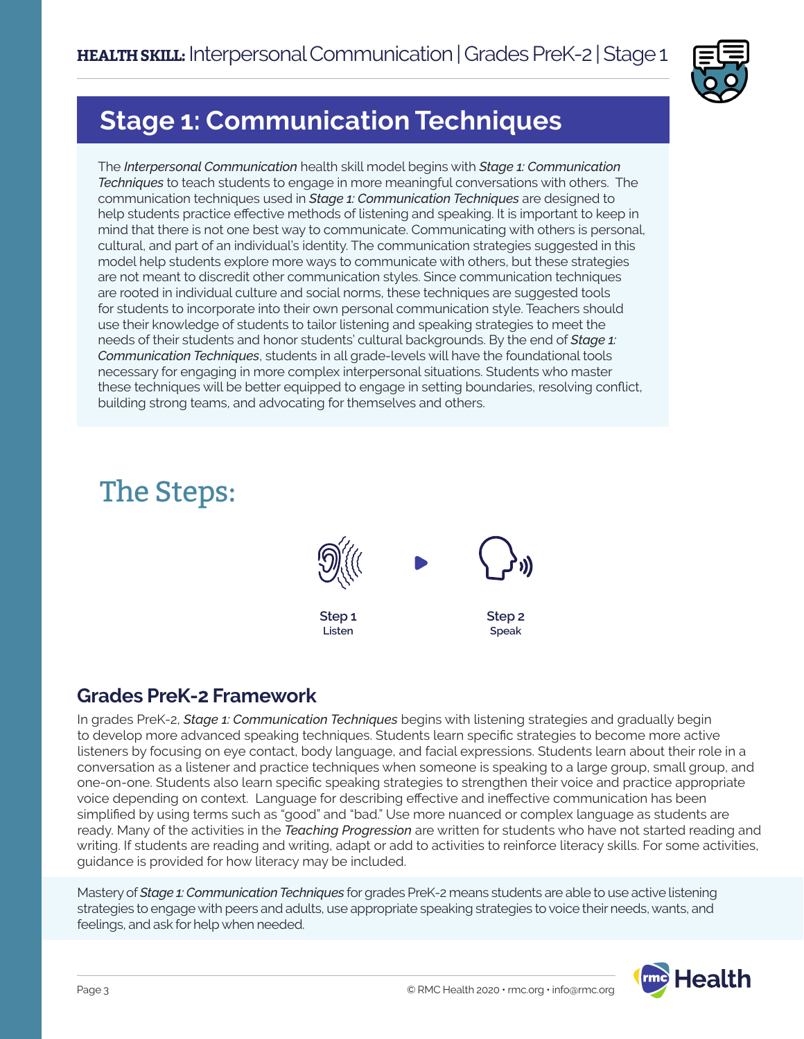

# **Stage 1: Communication Techniques**

The *Interpersonal Communication* health skill model begins with *Stage 1: Communication Techniques* to teach students to engage in more meaningful conversations with others. The communication techniques used in *Stage 1: Communication Techniques* are designed to help students practice effective methods of listening and speaking. It is important to keep in mind that there is not one best way to communicate. Communicating with others is personal, cultural, and part of an individual's identity. The communication strategies suggested in this model help students explore more ways to communicate with others, but these strategies are not meant to discredit other communication styles. Since communication techniques are rooted in individual culture and social norms, these techniques are suggested tools for students to incorporate into their own personal communication style. Teachers should use their knowledge of students to tailor listening and speaking strategies to meet the needs of their students and honor students' cultural backgrounds. By the end of *Stage 1: Communication Techniques*, students in all grade-levels will have the foundational tools necessary for engaging in more complex interpersonal situations. Students who master these techniques will be better equipped to engage in setting boundaries, resolving conflict, building strong teams, and advocating for themselves and others.

# The Steps:



### **Grades PreK-2 Framework**

In grades PreK-2, *Stage 1: Communication Techniques* begins with listening strategies and gradually begin to develop more advanced speaking techniques. Students learn specific strategies to become more active listeners by focusing on eye contact, body language, and facial expressions. Students learn about their role in a conversation as a listener and practice techniques when someone is speaking to a large group, small group, and one-on-one. Students also learn specific speaking strategies to strengthen their voice and practice appropriate voice depending on context. Language for describing effective and ineffective communication has been simplified by using terms such as "good" and "bad." Use more nuanced or complex language as students are ready. Many of the activities in the *Teaching Progression* are written for students who have not started reading and writing. If students are reading and writing, adapt or add to activities to reinforce literacy skills. For some activities, guidance is provided for how literacy may be included.

Mastery of *Stage 1: Communication Techniques* for grades PreK-2 means students are able to use active listening strategies to engage with peers and adults, use appropriate speaking strategies to voice their needs, wants, and feelings, and ask for help when needed.

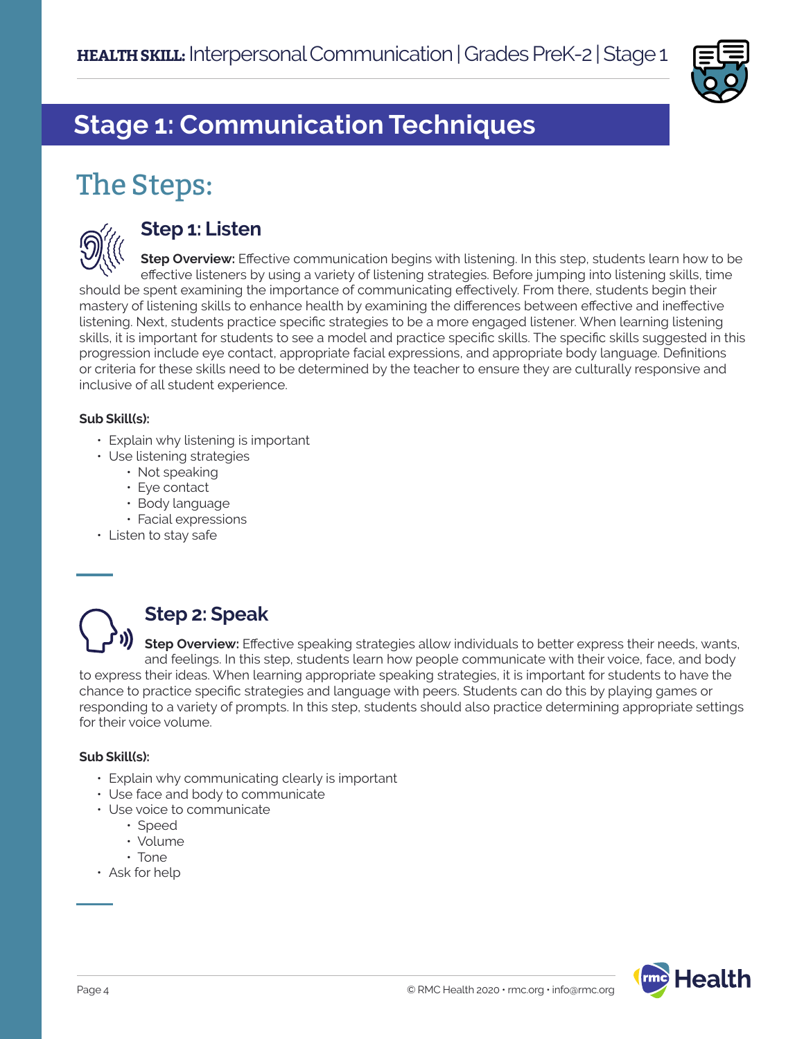

# **Stage 1: Communication Techniques**

# The Steps:



### **Step 1: Listen**

**Step Overview:** Effective communication begins with listening. In this step, students learn how to be effective listeners by using a variety of listening strategies. Before jumping into listening skills, time should be spent examining the importance of communicating effectively. From there, students begin their mastery of listening skills to enhance health by examining the differences between effective and ineffective listening. Next, students practice specific strategies to be a more engaged listener. When learning listening skills, it is important for students to see a model and practice specific skills. The specific skills suggested in this progression include eye contact, appropriate facial expressions, and appropriate body language. Definitions or criteria for these skills need to be determined by the teacher to ensure they are culturally responsive and inclusive of all student experience.

#### **Sub Skill(s):**

- Explain why listening is important
- Use listening strategies
	- Not speaking
	- Eye contact
	- Body language
	- Facial expressions
- Listen to stay safe



# **Step 2: Speak**

**Step Overview:** Effective speaking strategies allow individuals to better express their needs, wants, and feelings. In this step, students learn how people communicate with their voice, face, and body to express their ideas. When learning appropriate speaking strategies, it is important for students to have the chance to practice specific strategies and language with peers. Students can do this by playing games or responding to a variety of prompts. In this step, students should also practice determining appropriate settings for their voice volume.

#### **Sub Skill(s):**

- Explain why communicating clearly is important
- Use face and body to communicate
- Use voice to communicate
	- Speed
	- Volume
	- Tone
- Ask for help